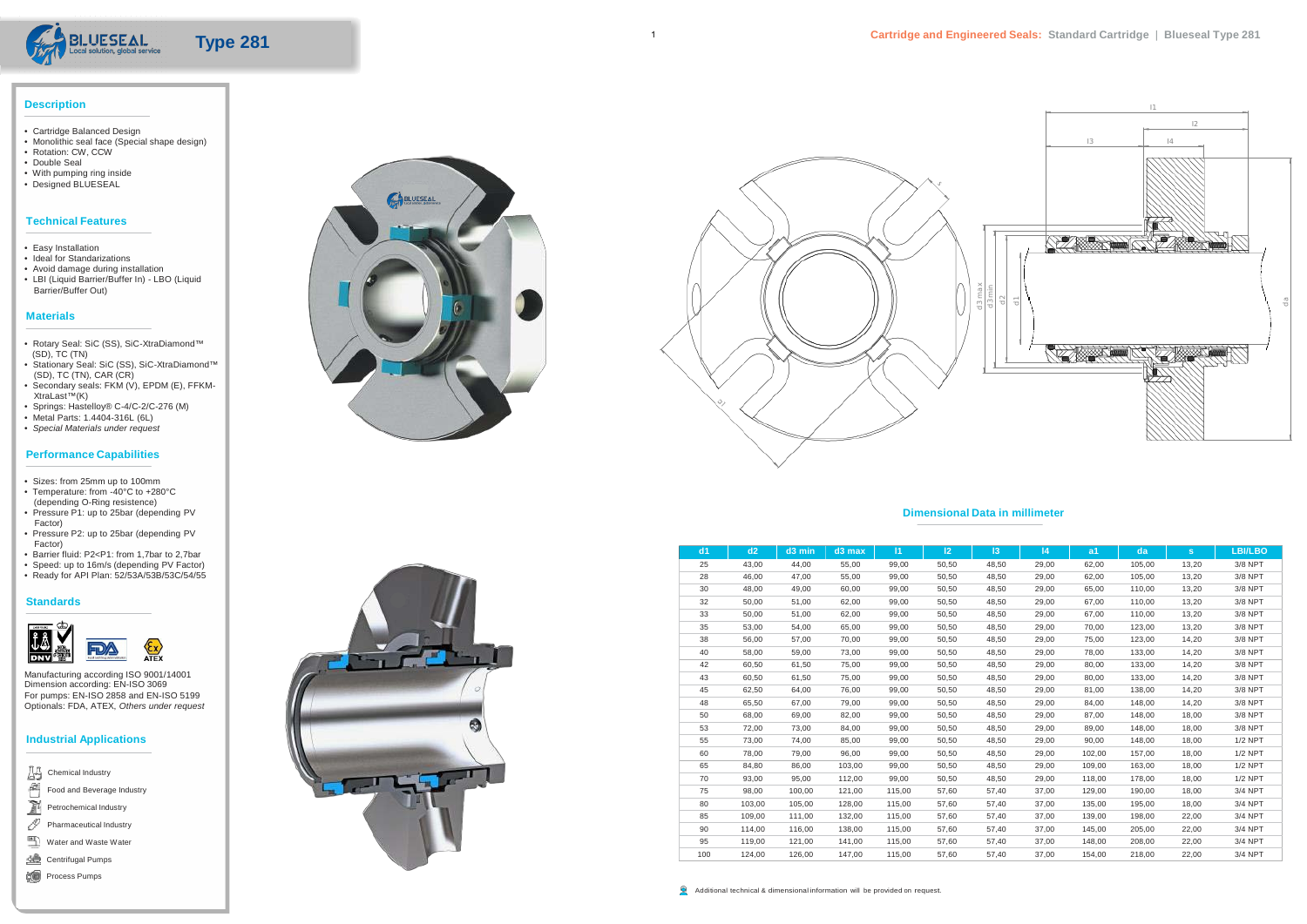



- Cartridge Balanced Design
- Monolithic seal face (Special shape design) • Rotation: CW, CCW
- 
- Double Seal
- With pumping ring inside
- Designed BLUESEAL

## **Technical Features**

- Easy Installation
- Ideal for Standarizations
- Avoid damage during installation
- LBI (Liquid Barrier/Buffer In) LBO (Liquid Barrier/Buffer Out)

## **Materials**

- Rotary Seal: SiC (SS), SiC-XtraDiamond™ (SD), TC (TN)
- Stationary Seal: SiC (SS), SiC-XtraDiamond™ (SD), TC (TN), CAR (CR)
- Secondary seals: FKM (V), EPDM (E), FFKM-XtraLast™(K)
- Springs: Hastelloy® C-4/C-2/C-276 (M)
- Metal Parts: 1.4404-316L (6L)
- *Special Materials under request*

## **Performance Capabilities**

- Sizes: from 25mm up to 100mm
- Temperature: from -40°C to +280°C
- (depending O-Ring resistence) • Pressure P1: up to 25bar (depending PV Factor)
- Pressure P2: up to 25bar (depending PV Factor)
- Barrier fluid: P2<P1: from 1,7bar to 2,7bar
- Speed: up to 16m/s (depending PV Factor)
- Ready for API Plan: 52/53A/53B/53C/54/55

#### **Standards**



Manufacturing according ISO 9001/14001 Dimension according: EN-ISO 3069 For pumps: EN-ISO 2858 and EN-ISO 5199 Optionals: FDA, ATEX, *Others under request*

# **Industrial Applications**

#### **Dimensional Data in millimeter**

| Chemical Industry          |
|----------------------------|
| Food and Beverage Industry |
| Petrochemical Industry     |
| Pharmaceutical Industry    |
| Water and Waste Water      |
| <b>Centrifugal Pumps</b>   |
| Process Pumps              |





| dd1 | d2     | $d3$ min | $d3$ max | 11     | 12 <sup>2</sup> | 3     | 4     | a <sub>1</sub> | da     | s.    | <b>LBI/LBO</b> |
|-----|--------|----------|----------|--------|-----------------|-------|-------|----------------|--------|-------|----------------|
| 25  | 43,00  | 44,00    | 55,00    | 99,00  | 50,50           | 48,50 | 29,00 | 62,00          | 105,00 | 13,20 | 3/8 NPT        |
| 28  | 46,00  | 47,00    | 55,00    | 99,00  | 50,50           | 48,50 | 29,00 | 62,00          | 105,00 | 13,20 | 3/8 NPT        |
| 30  | 48,00  | 49,00    | 60,00    | 99,00  | 50,50           | 48,50 | 29,00 | 65,00          | 110,00 | 13,20 | 3/8 NPT        |
| 32  | 50,00  | 51,00    | 62,00    | 99,00  | 50,50           | 48,50 | 29,00 | 67,00          | 110,00 | 13,20 | 3/8 NPT        |
| 33  | 50,00  | 51,00    | 62,00    | 99,00  | 50,50           | 48,50 | 29,00 | 67,00          | 110,00 | 13,20 | 3/8 NPT        |
| 35  | 53,00  | 54,00    | 65,00    | 99,00  | 50,50           | 48,50 | 29,00 | 70,00          | 123,00 | 13,20 | 3/8 NPT        |
| 38  | 56,00  | 57,00    | 70,00    | 99,00  | 50,50           | 48,50 | 29,00 | 75,00          | 123,00 | 14,20 | 3/8 NPT        |
| 40  | 58,00  | 59,00    | 73,00    | 99,00  | 50,50           | 48,50 | 29,00 | 78,00          | 133,00 | 14,20 | 3/8 NPT        |
| 42  | 60,50  | 61,50    | 75,00    | 99,00  | 50,50           | 48,50 | 29,00 | 80,00          | 133,00 | 14,20 | 3/8 NPT        |
| 43  | 60,50  | 61,50    | 75,00    | 99,00  | 50,50           | 48,50 | 29,00 | 80,00          | 133,00 | 14,20 | 3/8 NPT        |
| 45  | 62,50  | 64,00    | 76,00    | 99,00  | 50,50           | 48,50 | 29,00 | 81,00          | 138,00 | 14,20 | 3/8 NPT        |
| 48  | 65,50  | 67,00    | 79,00    | 99,00  | 50,50           | 48,50 | 29,00 | 84,00          | 148,00 | 14,20 | 3/8 NPT        |
| 50  | 68,00  | 69,00    | 82,00    | 99,00  | 50,50           | 48,50 | 29,00 | 87,00          | 148,00 | 18,00 | 3/8 NPT        |
| 53  | 72,00  | 73,00    | 84,00    | 99,00  | 50,50           | 48,50 | 29,00 | 89,00          | 148,00 | 18,00 | 3/8 NPT        |
| 55  | 73,00  | 74,00    | 85,00    | 99,00  | 50,50           | 48,50 | 29,00 | 90,00          | 148,00 | 18,00 | <b>1/2 NPT</b> |
| 60  | 78,00  | 79,00    | 96,00    | 99,00  | 50,50           | 48,50 | 29,00 | 102,00         | 157,00 | 18,00 | <b>1/2 NPT</b> |
| 65  | 84,80  | 86,00    | 103,00   | 99,00  | 50,50           | 48,50 | 29,00 | 109,00         | 163,00 | 18,00 | <b>1/2 NPT</b> |
| 70  | 93,00  | 95,00    | 112,00   | 99,00  | 50,50           | 48,50 | 29,00 | 118,00         | 178,00 | 18,00 | $1/2$ NPT      |
| 75  | 98,00  | 100,00   | 121,00   | 115,00 | 57,60           | 57,40 | 37,00 | 129,00         | 190,00 | 18,00 | 3/4 NPT        |
| 80  | 103,00 | 105,00   | 128,00   | 115,00 | 57,60           | 57,40 | 37,00 | 135,00         | 195,00 | 18,00 | 3/4 NPT        |
| 85  | 109,00 | 111,00   | 132,00   | 115,00 | 57,60           | 57,40 | 37,00 | 139,00         | 198,00 | 22,00 | 3/4 NPT        |
| 90  | 114,00 | 116,00   | 138,00   | 115,00 | 57,60           | 57,40 | 37,00 | 145,00         | 205,00 | 22,00 | 3/4 NPT        |
| 95  | 119,00 | 121,00   | 141,00   | 115,00 | 57,60           | 57,40 | 37,00 | 148,00         | 208,00 | 22,00 | 3/4 NPT        |
| 100 | 124,00 | 126,00   | 147.00   | 115,00 | 57,60           | 57,40 | 37,00 | 154,00         | 218,00 | 22,00 | 3/4 NPT        |

1